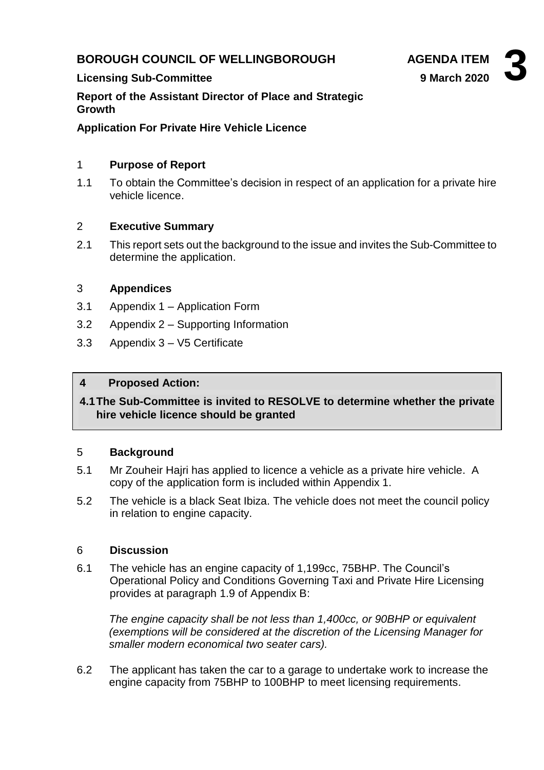# **BOROUGH COUNCIL OF WELLINGBOROUGH AGENDA ITEM**

#### **Licensing Sub-Committee**

**Report of the Assistant Director of Place and Strategic Growth**

**Application For Private Hire Vehicle Licence**

### 1 **Purpose of Report**

1.1 To obtain the Committee's decision in respect of an application for a private hire vehicle licence.

### 2 **Executive Summary**

2.1 This report sets out the background to the issue and invites the Sub-Committee to determine the application.

### 3 **Appendices**

- 3.1 Appendix 1 Application Form
- 3.2 Appendix 2 Supporting Information
- 3.3 Appendix 3 V5 Certificate

### **4 Proposed Action:**

**4.1The Sub-Committee is invited to RESOLVE to determine whether the private hire vehicle licence should be granted**

#### 5 **Background**

- 5.1 Mr Zouheir Hajri has applied to licence a vehicle as a private hire vehicle. A copy of the application form is included within Appendix 1.
- 5.2 The vehicle is a black Seat Ibiza. The vehicle does not meet the council policy in relation to engine capacity.

#### 6 **Discussion**

6.1 The vehicle has an engine capacity of 1,199cc, 75BHP. The Council's Operational Policy and Conditions Governing Taxi and Private Hire Licensing provides at paragraph 1.9 of Appendix B:

*The engine capacity shall be not less than 1,400cc, or 90BHP or equivalent (exemptions will be considered at the discretion of the Licensing Manager for smaller modern economical two seater cars).*

6.2 The applicant has taken the car to a garage to undertake work to increase the engine capacity from 75BHP to 100BHP to meet licensing requirements.

**9 March 2020**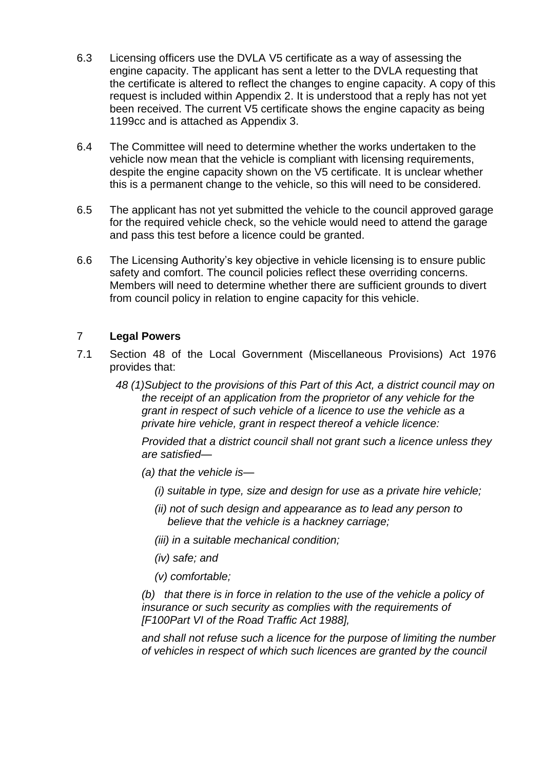- 6.3 Licensing officers use the DVLA V5 certificate as a way of assessing the engine capacity. The applicant has sent a letter to the DVLA requesting that the certificate is altered to reflect the changes to engine capacity. A copy of this request is included within Appendix 2. It is understood that a reply has not yet been received. The current V5 certificate shows the engine capacity as being 1199cc and is attached as Appendix 3.
- 6.4 The Committee will need to determine whether the works undertaken to the vehicle now mean that the vehicle is compliant with licensing requirements, despite the engine capacity shown on the V5 certificate. It is unclear whether this is a permanent change to the vehicle, so this will need to be considered.
- 6.5 The applicant has not yet submitted the vehicle to the council approved garage for the required vehicle check, so the vehicle would need to attend the garage and pass this test before a licence could be granted.
- 6.6 The Licensing Authority's key objective in vehicle licensing is to ensure public safety and comfort. The council policies reflect these overriding concerns. Members will need to determine whether there are sufficient grounds to divert from council policy in relation to engine capacity for this vehicle.

# 7 **Legal Powers**

- 7.1 Section 48 of the Local Government (Miscellaneous Provisions) Act 1976 provides that:
	- *48 (1)Subject to the provisions of this Part of this Act, a district council may on the receipt of an application from the proprietor of any vehicle for the grant in respect of such vehicle of a licence to use the vehicle as a private hire vehicle, grant in respect thereof a vehicle licence:*

*Provided that a district council shall not grant such a licence unless they are satisfied—*

- *(a) that the vehicle is—*
	- *(i) suitable in type, size and design for use as a private hire vehicle;*
	- *(ii) not of such design and appearance as to lead any person to believe that the vehicle is a hackney carriage;*
	- *(iii) in a suitable mechanical condition;*
	- *(iv) safe; and*
	- *(v) comfortable;*

*(b) that there is in force in relation to the use of the vehicle a policy of insurance or such security as complies with the requirements of [F100Part VI of the Road Traffic Act 1988],*

*and shall not refuse such a licence for the purpose of limiting the number of vehicles in respect of which such licences are granted by the council*